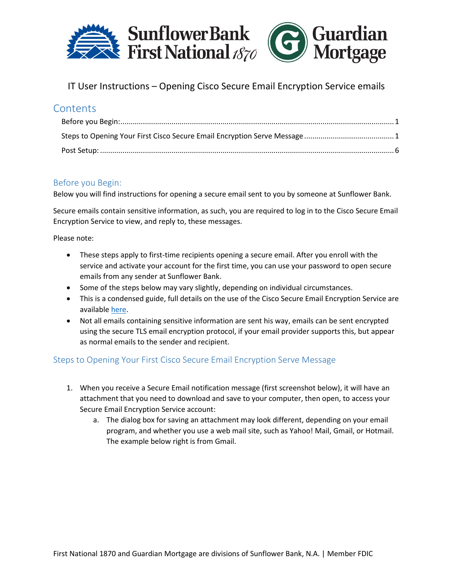

## **Contents**

#### <span id="page-0-0"></span>Before you Begin:

Below you will find instructions for opening a secure email sent to you by someone at Sunflower Bank.

Secure emails contain sensitive information, as such, you are required to log in to the Cisco Secure Email Encryption Service to view, and reply to, these messages.

Please note:

- These steps apply to first-time recipients opening a secure email. After you enroll with the service and activate your account for the first time, you can use your password to open secure emails from any sender at Sunflower Bank.
- Some of the steps below may vary slightly, depending on individual circumstances.
- This is a condensed guide, full details on the use of the Cisco Secure Email Encryption Service are available [here.](https://www.cisco.com/c/en/us/td/docs/security/email_encryption/CRES/recipient_guide/b_Recipient/b_Recipient_chapter_011.html)
- Not all emails containing sensitive information are sent his way, emails can be sent encrypted using the secure TLS email encryption protocol, if your email provider supports this, but appear as normal emails to the sender and recipient.

#### <span id="page-0-1"></span>Steps to Opening Your First Cisco Secure Email Encryption Serve Message

- 1. When you receive a Secure Email notification message (first screenshot below), it will have an attachment that you need to download and save to your computer, then open, to access your Secure Email Encryption Service account:
	- a. The dialog box for saving an attachment may look different, depending on your email program, and whether you use a web mail site, such as Yahoo! Mail, Gmail, or Hotmail. The example below right is from Gmail.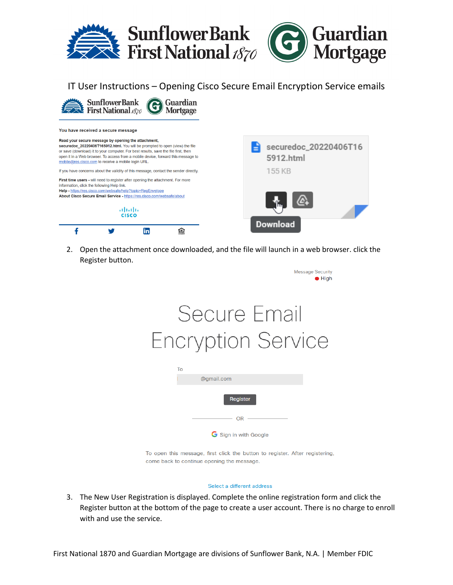



#### You have received a secure message

Read your secure message by opening the attachment, securedoc\_20220406T165912.html. You will be prompted to open (view) the file or save (download) it to your computer. For best results, save the file first, then open it in a Web browser. To access from a mobile device, forward this message to mobile@res.cisco.com to receive a mobile login URL. If you have concerns about the validity of this message, contact the sender directly. First time users - will need to register after opening the attachment. For more information, click the following Help link.

Help - https://res.cisco.com/websafe/help?topic=RegEnvelope About Cisco Secure Email Service - https://res.cisco.com/websafe/about



| E<br>5912.html  | securedoc_20220406T16 |
|-----------------|-----------------------|
| 155 KB          |                       |
| <b>Download</b> |                       |

2. Open the attachment once downloaded, and the file will launch in a web browser. click the Register button.

| <b>Message Security</b><br>$\bullet$ High                                  |
|----------------------------------------------------------------------------|
| Secure Email<br><b>Encryption Service</b>                                  |
| To<br>@gmail.com                                                           |
| Register                                                                   |
| OR                                                                         |
| Sign in with Google                                                        |
| To open this message first click the button to register. After registering |

To open this message, first click the button to register. After registering, come back to continue opening the message.

#### Select a different address

3. The New User Registration is displayed. Complete the online registration form and click the Register button at the bottom of the page to create a user account. There is no charge to enroll with and use the service.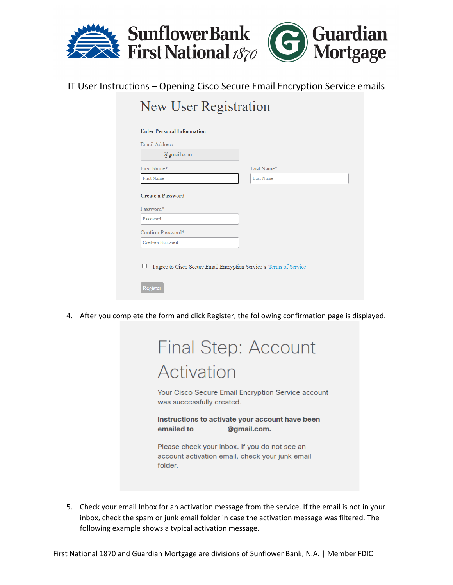

## New User Registration

| <b>Email Address</b> |                                                                     |
|----------------------|---------------------------------------------------------------------|
| @gmail.com           |                                                                     |
| First Name*          | Last Name*                                                          |
| First Name           | Last Name                                                           |
| Confirm Password*    |                                                                     |
|                      |                                                                     |
| Confirm Password     |                                                                     |
|                      |                                                                     |
|                      | I agree to Cisco Secure Email Encryption Service's Terms of Service |
|                      |                                                                     |

4. After you complete the form and click Register, the following confirmation page is displayed.

| Final Step: Account                                                                                         |
|-------------------------------------------------------------------------------------------------------------|
| Activation                                                                                                  |
| Your Cisco Secure Email Encryption Service account<br>was successfully created.                             |
| Instructions to activate your account have been<br>emailed to<br>@gmail.com.                                |
| Please check your inbox. If you do not see an<br>account activation email, check your junk email<br>folder. |

5. Check your email Inbox for an activation message from the service. If the email is not in your inbox, check the spam or junk email folder in case the activation message was filtered. The following example shows a typical activation message.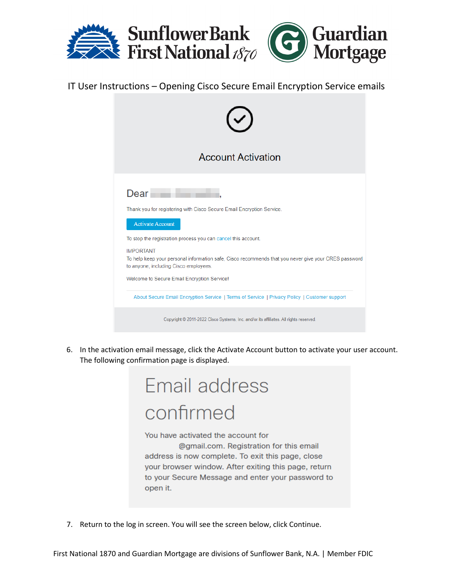

| <b>Account Activation</b>                                                                                                                                                                                                                                                                                                                                                                     |
|-----------------------------------------------------------------------------------------------------------------------------------------------------------------------------------------------------------------------------------------------------------------------------------------------------------------------------------------------------------------------------------------------|
| Dear<br>Thank you for registering with Cisco Secure Email Encryption Service.<br><b>Activate Account</b><br>To stop the registration process you can cancel this account.<br><b>IMPORTANT</b><br>To help keep your personal information safe, Cisco recommends that you never give your CRES password<br>to anyone, including Cisco employees.<br>Welcome to Secure Email Encryption Service! |
| About Secure Email Encryption Service   Terms of Service   Privacy Policy   Customer support                                                                                                                                                                                                                                                                                                  |
| Copyright © 2011-2022 Cisco Systems, Inc. and/or its affiliates. All rights reserved.                                                                                                                                                                                                                                                                                                         |

6. In the activation email message, click the Activate Account button to activate your user account. The following confirmation page is displayed.

# Email address confirmed

You have activated the account for

@gmail.com. Registration for this email address is now complete. To exit this page, close your browser window. After exiting this page, return to your Secure Message and enter your password to open it.

7. Return to the log in screen. You will see the screen below, click Continue.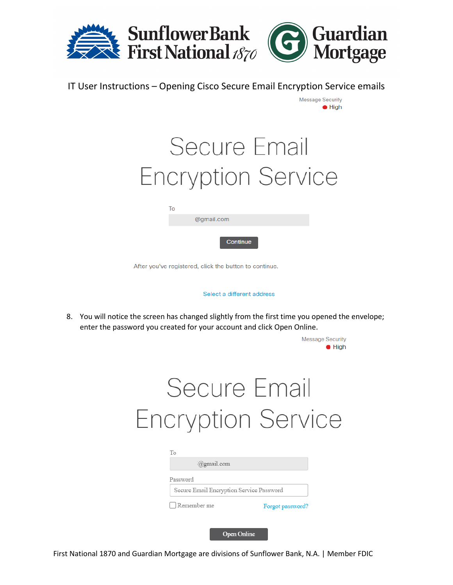

| Secure Email              |  |
|---------------------------|--|
| <b>Encryption Service</b> |  |

**Message Security**  $\bullet$  High

| To |            |  |
|----|------------|--|
|    | @gmail.com |  |
|    | Continue   |  |

After you've registered, click the button to continue.

Select a different address

8. You will notice the screen has changed slightly from the first time you opened the envelope; enter the password you created for your account and click Open Online.

|                                                      | <b>Message Security</b><br>$\bullet$ High |
|------------------------------------------------------|-------------------------------------------|
| Secure Email                                         |                                           |
| <b>Encryption Service</b>                            |                                           |
|                                                      |                                           |
| To<br>@gmail.com                                     |                                           |
| Password<br>Secure Email Encryption Service Password |                                           |